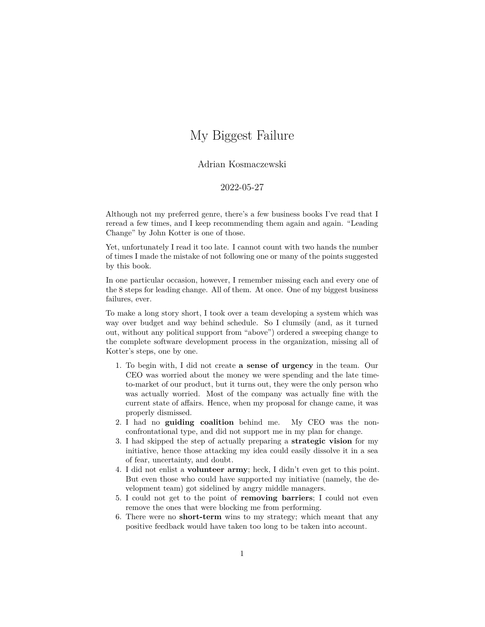## My Biggest Failure

## Adrian Kosmaczewski

## 2022-05-27

Although not my preferred genre, there's a few business books I've read that I reread a few times, and I keep recommending them again and again. ["Leading](https://www.kotterinc.com/book/leading-change/) [Change"](https://www.kotterinc.com/book/leading-change/) by John Kotter is one of those.

Yet, unfortunately I read it too late. I cannot count with two hands the number of times I made the mistake of not following one or many of the points suggested by this book.

In one particular occasion, however, I remember missing each and every one of the [8 steps for leading change.](https://www.kotterinc.com/8-step-process-for-leading-change/) All of them. At once. One of my biggest business failures, ever.

To make a long story short, I took over a team developing a system which was way over budget and way behind schedule. So I clumsily (and, as it turned out, without any political support from "above") ordered a sweeping change to the complete software development process in the organization, missing all of Kotter's steps, one by one.

- 1. To begin with, I did not create **a sense of urgency** in the team. Our CEO was worried about the money we were spending and the late timeto-market of our product, but it turns out, they were the only person who was actually worried. Most of the company was actually fine with the current state of affairs. Hence, when my proposal for change came, it was properly dismissed.
- 2. I had no **guiding coalition** behind me. My CEO was the nonconfrontational type, and did not support me in my plan for change.
- 3. I had skipped the step of actually preparing a **strategic vision** for my initiative, hence those attacking my idea could easily dissolve it in a sea of fear, uncertainty, and doubt.
- 4. I did not enlist a **volunteer army**; heck, I didn't even get to this point. But even those who could have supported my initiative (namely, the development team) got sidelined by angry middle managers.
- 5. I could not get to the point of **removing barriers**; I could not even remove the ones that were blocking me from performing.
- 6. There were no **short-term** wins to my strategy; which meant that any positive feedback would have taken too long to be taken into account.